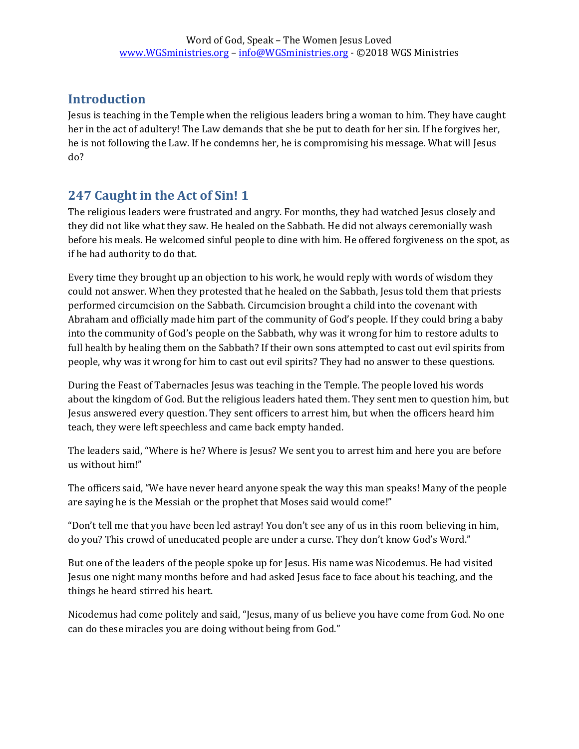## **Introduction**

Jesus is teaching in the Temple when the religious leaders bring a woman to him. They have caught her in the act of adultery! The Law demands that she be put to death for her sin. If he forgives her, he is not following the Law. If he condemns her, he is compromising his message. What will Jesus do?

## **247 Caught in the Act of Sin! 1**

The religious leaders were frustrated and angry. For months, they had watched Jesus closely and they did not like what they saw. He healed on the Sabbath. He did not always ceremonially wash before his meals. He welcomed sinful people to dine with him. He offered forgiveness on the spot, as if he had authority to do that.

Every time they brought up an objection to his work, he would reply with words of wisdom they could not answer. When they protested that he healed on the Sabbath, Jesus told them that priests performed circumcision on the Sabbath. Circumcision brought a child into the covenant with Abraham and officially made him part of the community of God's people. If they could bring a baby into the community of God's people on the Sabbath, why was it wrong for him to restore adults to full health by healing them on the Sabbath? If their own sons attempted to cast out evil spirits from people, why was it wrong for him to cast out evil spirits? They had no answer to these questions.

During the Feast of Tabernacles Jesus was teaching in the Temple. The people loved his words about the kingdom of God. But the religious leaders hated them. They sent men to question him, but Jesus answered every question. They sent officers to arrest him, but when the officers heard him teach, they were left speechless and came back empty handed.

The leaders said, "Where is he? Where is Jesus? We sent you to arrest him and here you are before us without him!"

The officers said, "We have never heard anyone speak the way this man speaks! Many of the people are saying he is the Messiah or the prophet that Moses said would come!"

"Don't tell me that you have been led astray! You don't see any of us in this room believing in him, do you? This crowd of uneducated people are under a curse. They don't know God's Word."

But one of the leaders of the people spoke up for Jesus. His name was Nicodemus. He had visited Jesus one night many months before and had asked Jesus face to face about his teaching, and the things he heard stirred his heart.

Nicodemus had come politely and said, "Jesus, many of us believe you have come from God. No one can do these miracles you are doing without being from God."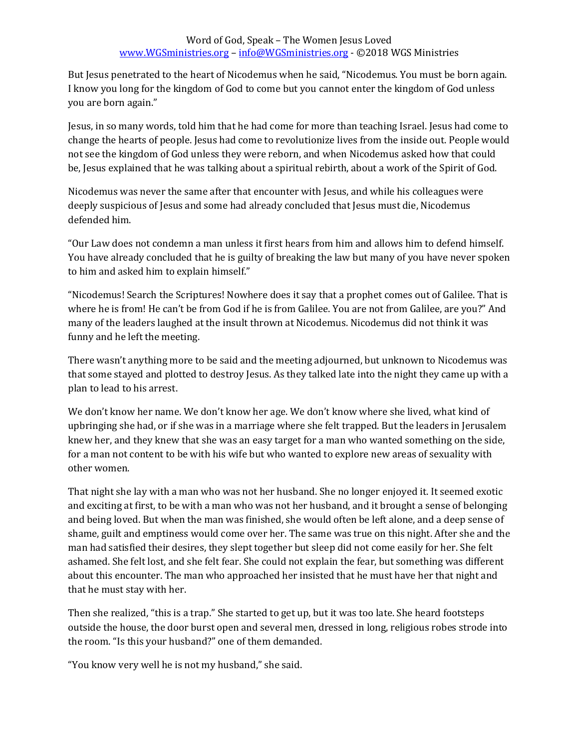But Jesus penetrated to the heart of Nicodemus when he said, "Nicodemus. You must be born again. I know you long for the kingdom of God to come but you cannot enter the kingdom of God unless you are born again."

Jesus, in so many words, told him that he had come for more than teaching Israel. Jesus had come to change the hearts of people. Jesus had come to revolutionize lives from the inside out. People would not see the kingdom of God unless they were reborn, and when Nicodemus asked how that could be, Jesus explained that he was talking about a spiritual rebirth, about a work of the Spirit of God.

Nicodemus was never the same after that encounter with Jesus, and while his colleagues were deeply suspicious of Jesus and some had already concluded that Jesus must die, Nicodemus defended him.

"Our Law does not condemn a man unless it first hears from him and allows him to defend himself. You have already concluded that he is guilty of breaking the law but many of you have never spoken to him and asked him to explain himself."

"Nicodemus! Search the Scriptures! Nowhere does it say that a prophet comes out of Galilee. That is where he is from! He can't be from God if he is from Galilee. You are not from Galilee, are you?" And many of the leaders laughed at the insult thrown at Nicodemus. Nicodemus did not think it was funny and he left the meeting.

There wasn't anything more to be said and the meeting adjourned, but unknown to Nicodemus was that some stayed and plotted to destroy Jesus. As they talked late into the night they came up with a plan to lead to his arrest.

We don't know her name. We don't know her age. We don't know where she lived, what kind of upbringing she had, or if she was in a marriage where she felt trapped. But the leaders in Jerusalem knew her, and they knew that she was an easy target for a man who wanted something on the side, for a man not content to be with his wife but who wanted to explore new areas of sexuality with other women.

That night she lay with a man who was not her husband. She no longer enjoyed it. It seemed exotic and exciting at first, to be with a man who was not her husband, and it brought a sense of belonging and being loved. But when the man was finished, she would often be left alone, and a deep sense of shame, guilt and emptiness would come over her. The same was true on this night. After she and the man had satisfied their desires, they slept together but sleep did not come easily for her. She felt ashamed. She felt lost, and she felt fear. She could not explain the fear, but something was different about this encounter. The man who approached her insisted that he must have her that night and that he must stay with her.

Then she realized, "this is a trap." She started to get up, but it was too late. She heard footsteps outside the house, the door burst open and several men, dressed in long, religious robes strode into the room. "Is this your husband?" one of them demanded.

"You know very well he is not my husband," she said.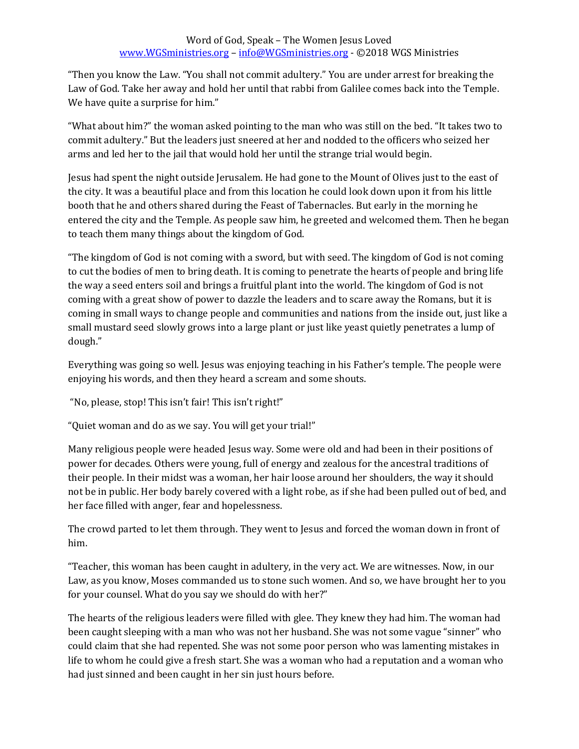"Then you know the Law. "You shall not commit adultery." You are under arrest for breaking the Law of God. Take her away and hold her until that rabbi from Galilee comes back into the Temple. We have quite a surprise for him."

"What about him?" the woman asked pointing to the man who was still on the bed. "It takes two to commit adultery." But the leaders just sneered at her and nodded to the officers who seized her arms and led her to the jail that would hold her until the strange trial would begin.

Jesus had spent the night outside Jerusalem. He had gone to the Mount of Olives just to the east of the city. It was a beautiful place and from this location he could look down upon it from his little booth that he and others shared during the Feast of Tabernacles. But early in the morning he entered the city and the Temple. As people saw him, he greeted and welcomed them. Then he began to teach them many things about the kingdom of God.

"The kingdom of God is not coming with a sword, but with seed. The kingdom of God is not coming to cut the bodies of men to bring death. It is coming to penetrate the hearts of people and bring life the way a seed enters soil and brings a fruitful plant into the world. The kingdom of God is not coming with a great show of power to dazzle the leaders and to scare away the Romans, but it is coming in small ways to change people and communities and nations from the inside out, just like a small mustard seed slowly grows into a large plant or just like yeast quietly penetrates a lump of dough."

Everything was going so well. Jesus was enjoying teaching in his Father's temple. The people were enjoying his words, and then they heard a scream and some shouts.

"No, please, stop! This isn't fair! This isn't right!"

"Quiet woman and do as we say. You will get your trial!"

Many religious people were headed Jesus way. Some were old and had been in their positions of power for decades. Others were young, full of energy and zealous for the ancestral traditions of their people. In their midst was a woman, her hair loose around her shoulders, the way it should not be in public. Her body barely covered with a light robe, as if she had been pulled out of bed, and her face filled with anger, fear and hopelessness.

The crowd parted to let them through. They went to Jesus and forced the woman down in front of him.

"Teacher, this woman has been caught in adultery, in the very act. We are witnesses. Now, in our Law, as you know, Moses commanded us to stone such women. And so, we have brought her to you for your counsel. What do you say we should do with her?"

The hearts of the religious leaders were filled with glee. They knew they had him. The woman had been caught sleeping with a man who was not her husband. She was not some vague "sinner" who could claim that she had repented. She was not some poor person who was lamenting mistakes in life to whom he could give a fresh start. She was a woman who had a reputation and a woman who had just sinned and been caught in her sin just hours before.